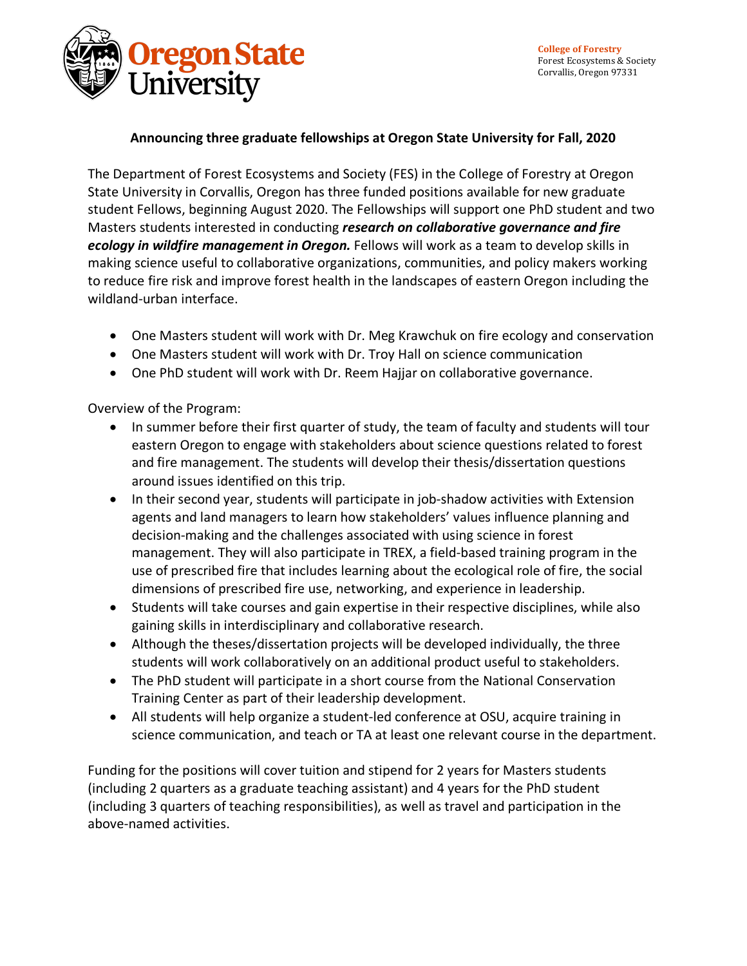

### **Announcing three graduate fellowships at Oregon State University for Fall, 2020**

The Department of Forest Ecosystems and Society (FES) in the College of Forestry at Oregon State University in Corvallis, Oregon has three funded positions available for new graduate student Fellows, beginning August 2020. The Fellowships will support one PhD student and two Masters students interested in conducting *research on collaborative governance and fire ecology in wildfire management in Oregon.* Fellows will work as a team to develop skills in making science useful to collaborative organizations, communities, and policy makers working to reduce fire risk and improve forest health in the landscapes of eastern Oregon including the wildland-urban interface.

- One Masters student will work with Dr. Meg Krawchuk on fire ecology and conservation
- One Masters student will work with Dr. Troy Hall on science communication
- One PhD student will work with Dr. Reem Hajjar on collaborative governance.

Overview of the Program:

- In summer before their first quarter of study, the team of faculty and students will tour eastern Oregon to engage with stakeholders about science questions related to forest and fire management. The students will develop their thesis/dissertation questions around issues identified on this trip.
- In their second year, students will participate in job-shadow activities with Extension agents and land managers to learn how stakeholders' values influence planning and decision-making and the challenges associated with using science in forest management. They will also participate in TREX, a field-based training program in the use of prescribed fire that includes learning about the ecological role of fire, the social dimensions of prescribed fire use, networking, and experience in leadership.
- Students will take courses and gain expertise in their respective disciplines, while also gaining skills in interdisciplinary and collaborative research.
- Although the theses/dissertation projects will be developed individually, the three students will work collaboratively on an additional product useful to stakeholders.
- The PhD student will participate in a short course from the National Conservation Training Center as part of their leadership development.
- All students will help organize a student-led conference at OSU, acquire training in science communication, and teach or TA at least one relevant course in the department.

Funding for the positions will cover tuition and stipend for 2 years for Masters students (including 2 quarters as a graduate teaching assistant) and 4 years for the PhD student (including 3 quarters of teaching responsibilities), as well as travel and participation in the above-named activities.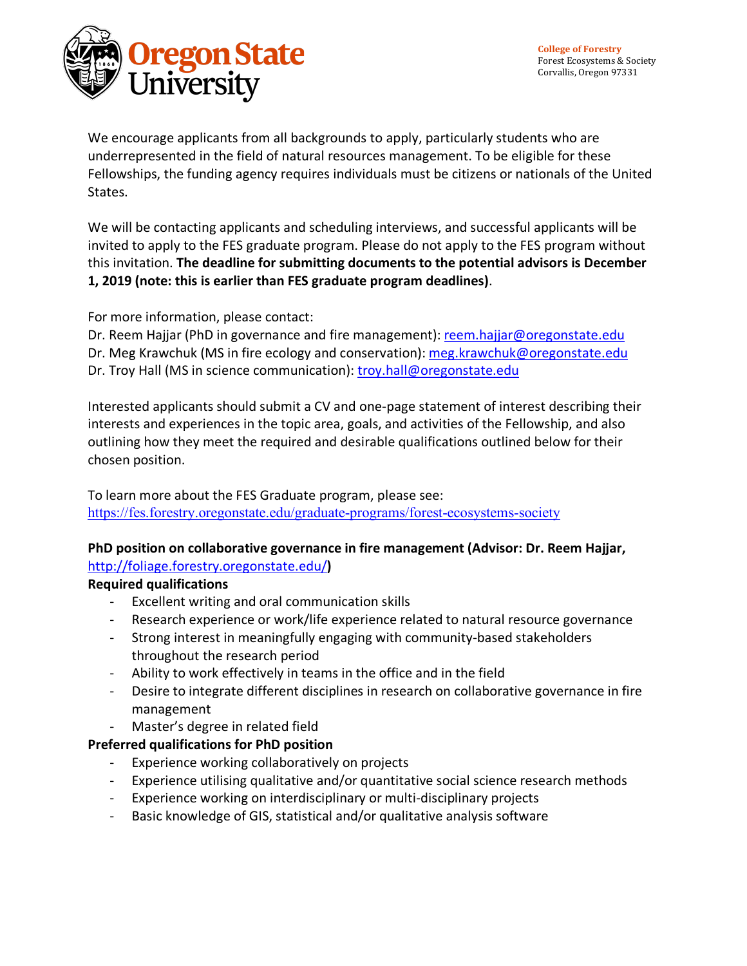

We encourage applicants from all backgrounds to apply, particularly students who are underrepresented in the field of natural resources management. To be eligible for these Fellowships, the funding agency requires individuals must be citizens or nationals of the United States.

We will be contacting applicants and scheduling interviews, and successful applicants will be invited to apply to the FES graduate program. Please do not apply to the FES program without this invitation. **The deadline for submitting documents to the potential advisors is December 1, 2019 (note: this is earlier than FES graduate program deadlines)**.

For more information, please contact:

Dr. Reem Hajjar (PhD in governance and fire management): reem.hajjar@oregonstate.edu Dr. Meg Krawchuk (MS in fire ecology and conservation): meg.krawchuk@oregonstate.edu Dr. Troy Hall (MS in science communication): troy.hall@oregonstate.edu

Interested applicants should submit a CV and one-page statement of interest describing their interests and experiences in the topic area, goals, and activities of the Fellowship, and also outlining how they meet the required and desirable qualifications outlined below for their chosen position.

To learn more about the FES Graduate program, please see: https://fes.forestry.oregonstate.edu/graduate-programs/forest-ecosystems-society

### **PhD position on collaborative governance in fire management (Advisor: Dr. Reem Hajjar,**  http://foliage.forestry.oregonstate.edu/**)**

# **Required qualifications**

- Excellent writing and oral communication skills
- Research experience or work/life experience related to natural resource governance
- Strong interest in meaningfully engaging with community-based stakeholders throughout the research period
- Ability to work effectively in teams in the office and in the field
- Desire to integrate different disciplines in research on collaborative governance in fire management
- Master's degree in related field

# **Preferred qualifications for PhD position**

- Experience working collaboratively on projects
- Experience utilising qualitative and/or quantitative social science research methods
- Experience working on interdisciplinary or multi-disciplinary projects
- Basic knowledge of GIS, statistical and/or qualitative analysis software